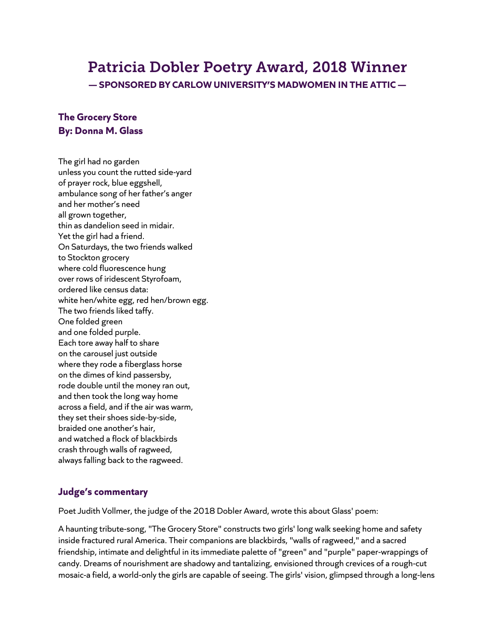# Patricia Dobler Poetry Award, 2018 Winner

**— SPONSORED BY CARLOW UNIVERSITY'S MADWOMEN IN THE ATTIC —**

## **The Grocery Store By: Donna M. Glass**

The girl had no garden unless you count the rutted side-yard of prayer rock, blue eggshell, ambulance song of her father's anger and her mother's need all grown together, thin as dandelion seed in midair. Yet the girl had a friend. On Saturdays, the two friends walked to Stockton grocery where cold fluorescence hung over rows of iridescent Styrofoam, ordered like census data: white hen/white egg, red hen/brown egg. The two friends liked taffy. One folded green and one folded purple. Each tore away half to share on the carousel just outside where they rode a fiberglass horse on the dimes of kind passersby, rode double until the money ran out, and then took the long way home across a field, and if the air was warm, they set their shoes side-by-side, braided one another's hair, and watched a flock of blackbirds crash through walls of ragweed, always falling back to the ragweed.

### **Judge's commentary**

Poet Judith Vollmer, the judge of the 2018 Dobler Award, wrote this about Glass' poem:

A haunting tribute-song, "The Grocery Store" constructs two girls' long walk seeking home and safety inside fractured rural America. Their companions are blackbirds, "walls of ragweed," and a sacred friendship, intimate and delightful in its immediate palette of "green" and "purple" paper-wrappings of candy. Dreams of nourishment are shadowy and tantalizing, envisioned through crevices of a rough-cut mosaic-a field, a world-only the girls are capable of seeing. The girls' vision, glimpsed through a long-lens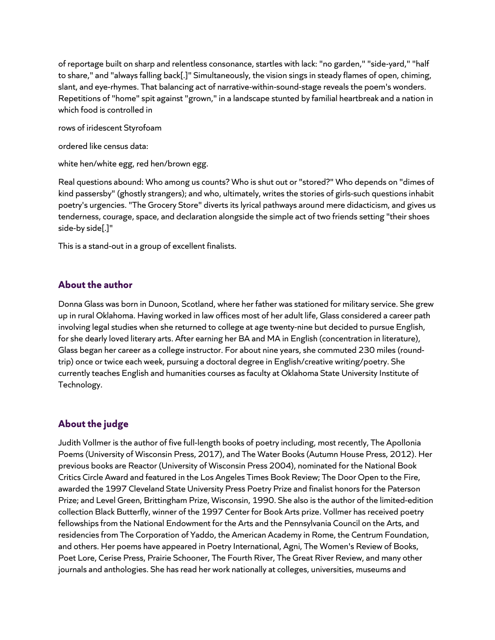of reportage built on sharp and relentless consonance, startles with lack: "no garden," "side-yard," "half to share," and "always falling back[.]" Simultaneously, the vision sings in steady flames of open, chiming, slant, and eye-rhymes. That balancing act of narrative-within-sound-stage reveals the poem's wonders. Repetitions of "home" spit against "grown," in a landscape stunted by familial heartbreak and a nation in which food is controlled in

rows of iridescent Styrofoam

ordered like census data:

white hen/white egg, red hen/brown egg.

Real questions abound: Who among us counts? Who is shut out or "stored?" Who depends on "dimes of kind passersby" (ghostly strangers); and who, ultimately, writes the stories of girls-such questions inhabit poetry's urgencies. "The Grocery Store" diverts its lyrical pathways around mere didacticism, and gives us tenderness, courage, space, and declaration alongside the simple act of two friends setting "their shoes side-by side[.]"

This is a stand-out in a group of excellent finalists.

#### **About the author**

Donna Glass was born in Dunoon, Scotland, where her father was stationed for military service. She grew up in rural Oklahoma. Having worked in law offices most of her adult life, Glass considered a career path involving legal studies when she returned to college at age twenty-nine but decided to pursue English, for she dearly loved literary arts. After earning her BA and MA in English (concentration in literature), Glass began her career as a college instructor. For about nine years, she commuted 230 miles (roundtrip) once or twice each week, pursuing a doctoral degree in English/creative writing/poetry. She currently teaches English and humanities courses as faculty at Oklahoma State University Institute of Technology.

#### **About the judge**

Judith Vollmer is the author of five full-length books of poetry including, most recently, The Apollonia Poems (University of Wisconsin Press, 2017), and The Water Books (Autumn House Press, 2012). Her previous books are Reactor (University of Wisconsin Press 2004), nominated for the National Book Critics Circle Award and featured in the Los Angeles Times Book Review; The Door Open to the Fire, awarded the 1997 Cleveland State University Press Poetry Prize and finalist honors for the Paterson Prize; and Level Green, Brittingham Prize, Wisconsin, 1990. She also is the author of the limited-edition collection Black Butterfly, winner of the 1997 Center for Book Arts prize. Vollmer has received poetry fellowships from the National Endowment for the Arts and the Pennsylvania Council on the Arts, and residencies from The Corporation of Yaddo, the American Academy in Rome, the Centrum Foundation, and others. Her poems have appeared in Poetry International, Agni, The Women's Review of Books, Poet Lore, Cerise Press, Prairie Schooner, The Fourth River, The Great River Review, and many other journals and anthologies. She has read her work nationally at colleges, universities, museums and